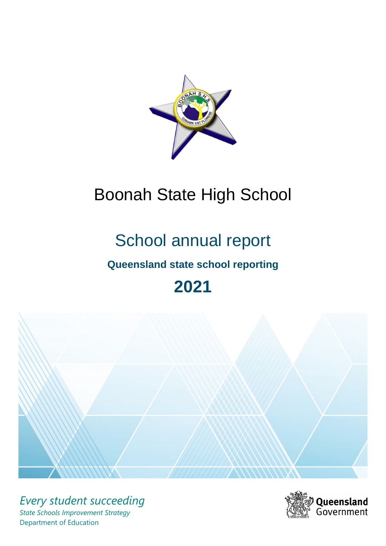

# Boonah State High School

# School annual report

# **Queensland state school reporting**

# **2021**



*Every student succeeding State Schools Improvement Strategy* Department of Education

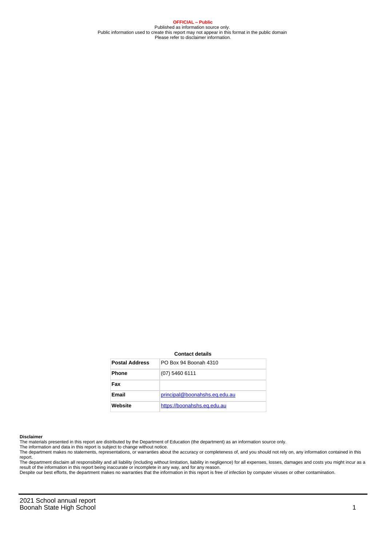**OFFICIAL – Public** Published as information source only. Public information used to create this report may not appear in this format in the public domain Please refer to disclaimer information.

#### **Contact details**

| <b>Postal Address</b> | PO Box 94 Boonah 4310         |
|-----------------------|-------------------------------|
| <b>Phone</b>          | $(07)$ 5460 6111              |
| Fax                   |                               |
| Email                 | principal@boonahshs.eq.edu.au |
| Website               | https://boonahshs.eq.edu.au   |

#### **Disclaimer**

The materials presented in this report are distributed by the Department of Education (the department) as an information source only.

The information and data in this report is subject to change without notice.<br>The department makes no statements, representations, or warranties about the accuracy or completeness of, and you should not rely on, any informa report. The department disclaim all responsibility and all liability (including without limitation, liability in negligence) for all expenses, losses, damages and costs you might incur as a

result of the information in this report being inaccurate or incomplete in any way, and for any reason. Despite our best efforts, the department makes no warranties that the information in this report is free of infection by computer viruses or other contamination.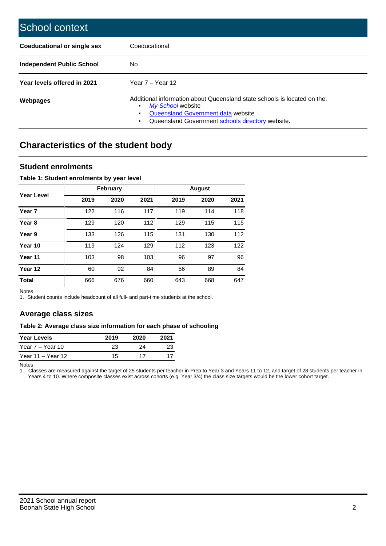| School context                   |                                                                                                                                                                                              |
|----------------------------------|----------------------------------------------------------------------------------------------------------------------------------------------------------------------------------------------|
| Coeducational or single sex      | Coeducational                                                                                                                                                                                |
| <b>Independent Public School</b> | No.                                                                                                                                                                                          |
| Year levels offered in 2021      | Year $7 -$ Year 12                                                                                                                                                                           |
| Webpages                         | Additional information about Queensland state schools is located on the:<br>My School website<br>Queensland Government data website<br>Queensland Government schools directory website.<br>٠ |

# **Characteristics of the student body**

## **Student enrolments**

### **Table 1: Student enrolments by year level**

|                   |      | <b>February</b> |      | <b>August</b> |      |      |  |
|-------------------|------|-----------------|------|---------------|------|------|--|
| <b>Year Level</b> | 2019 | 2020            | 2021 | 2019          | 2020 | 2021 |  |
| Year <sub>7</sub> | 122  | 116             | 117  | 119           | 114  | 118  |  |
| Year <sub>8</sub> | 129  | 120             | 112  | 129           | 115  | 115  |  |
| Year 9            | 133  | 126             | 115  | 131           | 130  | 112  |  |
| Year 10           | 119  | 124             | 129  | 112           | 123  | 122  |  |
| Year 11           | 103  | 98              | 103  | 96            | 97   | 96   |  |
| Year 12           | 60   | 92              | 84   | 56            | 89   | 84   |  |
| <b>Total</b>      | 666  | 676             | 660  | 643           | 668  | 647  |  |

Notes

1. Student counts include headcount of all full- and part-time students at the school.

## **Average class sizes**

### **Table 2: Average class size information for each phase of schooling**

| <b>Year Levels</b> | 2019 | 2020 | 2021 |
|--------------------|------|------|------|
| Year 7 – Year 10   | 23   | 24   | 23   |
| Year 11 – Year 12  | 15   | 17   |      |

Notes

1. Classes are measured against the target of 25 students per teacher in Prep to Year 3 and Years 11 to 12, and target of 28 students per teacher in Years 4 to 10. Where composite classes exist across cohorts (e.g. Year 3/4) the class size targets would be the lower cohort target.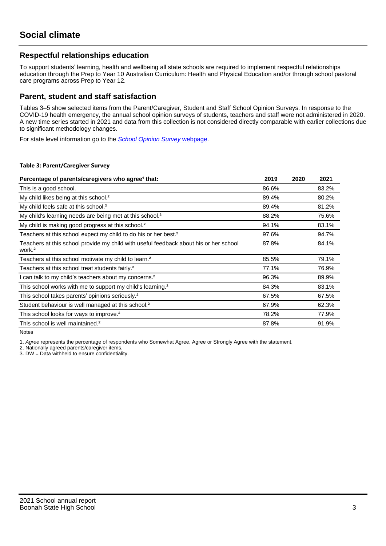## **Respectful relationships education**

To support students' learning, health and wellbeing all state schools are required to implement respectful relationships education through the Prep to Year 10 Australian Curriculum: Health and Physical Education and/or through school pastoral care programs across Prep to Year 12.

## **Parent, student and staff satisfaction**

Tables 3–5 show selected items from the Parent/Caregiver, Student and Staff School Opinion Surveys. In response to the COVID-19 health emergency, the annual school opinion surveys of students, teachers and staff were not administered in 2020. A new time series started in 2021 and data from this collection is not considered directly comparable with earlier collections due to significant methodology changes.

For state level information go to the **[School Opinion Survey](https://qed.qld.gov.au/publications/reports/statistics/schooling/schools/schoolopinionsurvey) webpage**.

#### **Table 3: Parent/Caregiver Survey**

| Percentage of parents/caregivers who agree <sup>1</sup> that:                                               | 2019  | 2020 | 2021  |
|-------------------------------------------------------------------------------------------------------------|-------|------|-------|
| This is a good school.                                                                                      | 86.6% |      | 83.2% |
| My child likes being at this school. <sup>2</sup>                                                           | 89.4% |      | 80.2% |
| My child feels safe at this school. <sup>2</sup>                                                            | 89.4% |      | 81.2% |
| My child's learning needs are being met at this school. <sup>2</sup>                                        | 88.2% |      | 75.6% |
| My child is making good progress at this school. <sup>2</sup>                                               | 94.1% |      | 83.1% |
| Teachers at this school expect my child to do his or her best. <sup>2</sup>                                 | 97.6% |      | 94.7% |
| Teachers at this school provide my child with useful feedback about his or her school<br>work. <sup>2</sup> | 87.8% |      | 84.1% |
| Teachers at this school motivate my child to learn. <sup>2</sup>                                            | 85.5% |      | 79.1% |
| Teachers at this school treat students fairly. <sup>2</sup>                                                 | 77.1% |      | 76.9% |
| can talk to my child's teachers about my concerns. <sup>2</sup>                                             | 96.3% |      | 89.9% |
| This school works with me to support my child's learning. <sup>2</sup>                                      | 84.3% |      | 83.1% |
| This school takes parents' opinions seriously. <sup>2</sup>                                                 | 67.5% |      | 67.5% |
| Student behaviour is well managed at this school. <sup>2</sup>                                              | 67.9% |      | 62.3% |
| This school looks for ways to improve. <sup>2</sup>                                                         | 78.2% |      | 77.9% |
| This school is well maintained. <sup>2</sup>                                                                | 87.8% |      | 91.9% |

Notes

1. Agree represents the percentage of respondents who Somewhat Agree, Agree or Strongly Agree with the statement.

2. Nationally agreed parents/caregiver items.

3. DW = Data withheld to ensure confidentiality.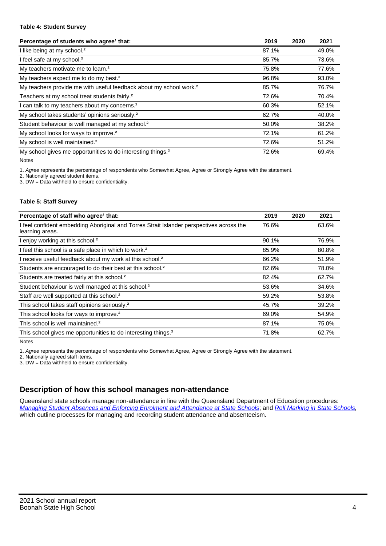#### **Table 4: Student Survey**

| Percentage of students who agree <sup>1</sup> that:                            | 2019  | 2020 | 2021  |
|--------------------------------------------------------------------------------|-------|------|-------|
| I like being at my school. <sup>2</sup>                                        | 87.1% |      | 49.0% |
| I feel safe at my school. <sup>2</sup>                                         | 85.7% |      | 73.6% |
| My teachers motivate me to learn. <sup>2</sup>                                 | 75.8% |      | 77.6% |
| My teachers expect me to do my best. <sup>2</sup>                              | 96.8% |      | 93.0% |
| My teachers provide me with useful feedback about my school work. <sup>2</sup> | 85.7% |      | 76.7% |
| Teachers at my school treat students fairly. <sup>2</sup>                      | 72.6% |      | 70.4% |
| can talk to my teachers about my concerns. <sup>2</sup>                        | 60.3% |      | 52.1% |
| My school takes students' opinions seriously. <sup>2</sup>                     | 62.7% |      | 40.0% |
| Student behaviour is well managed at my school. <sup>2</sup>                   | 50.0% |      | 38.2% |
| My school looks for ways to improve. <sup>2</sup>                              | 72.1% |      | 61.2% |
| My school is well maintained. <sup>2</sup>                                     | 72.6% |      | 51.2% |
| My school gives me opportunities to do interesting things. <sup>2</sup>        | 72.6% |      | 69.4% |

Notes

1. Agree represents the percentage of respondents who Somewhat Agree, Agree or Strongly Agree with the statement.

2. Nationally agreed student items.

3. DW = Data withheld to ensure confidentiality.

### **Table 5: Staff Survey**

| Percentage of staff who agree <sup>1</sup> that:                                                            | 2019  | 2020 | 2021  |
|-------------------------------------------------------------------------------------------------------------|-------|------|-------|
| I feel confident embedding Aboriginal and Torres Strait Islander perspectives across the<br>learning areas. | 76.6% |      | 63.6% |
| I enjoy working at this school. <sup>2</sup>                                                                | 90.1% |      | 76.9% |
| I feel this school is a safe place in which to work. <sup>2</sup>                                           | 85.9% |      | 80.8% |
| I receive useful feedback about my work at this school. <sup>2</sup>                                        | 66.2% |      | 51.9% |
| Students are encouraged to do their best at this school. <sup>2</sup>                                       | 82.6% |      | 78.0% |
| Students are treated fairly at this school. <sup>2</sup>                                                    | 82.4% |      | 62.7% |
| Student behaviour is well managed at this school. <sup>2</sup>                                              | 53.6% |      | 34.6% |
| Staff are well supported at this school. <sup>2</sup>                                                       | 59.2% |      | 53.8% |
| This school takes staff opinions seriously. <sup>2</sup>                                                    | 45.7% |      | 39.2% |
| This school looks for ways to improve. <sup>2</sup>                                                         | 69.0% |      | 54.9% |
| This school is well maintained. <sup>2</sup>                                                                | 87.1% |      | 75.0% |
| This school gives me opportunities to do interesting things. <sup>2</sup>                                   | 71.8% |      | 62.7% |

Notes

1. Agree represents the percentage of respondents who Somewhat Agree, Agree or Strongly Agree with the statement.

2. Nationally agreed staff items.

3. DW = Data withheld to ensure confidentiality.

# **Description of how this school manages non-attendance**

Queensland state schools manage non-attendance in line with the Queensland Department of Education procedures: [Managing Student Absences and Enforcing Enrolment and Attendance at State Schools](https://ppr.qed.qld.gov.au/pp/managing-student-absences-and-enforcing-enrolment-and-attendance-at-state-schools-procedure); and [Roll Marking in State Schools,](https://ppr.qed.qld.gov.au/pp/roll-marking-in-state-schools-procedure) which outline processes for managing and recording student attendance and absenteeism.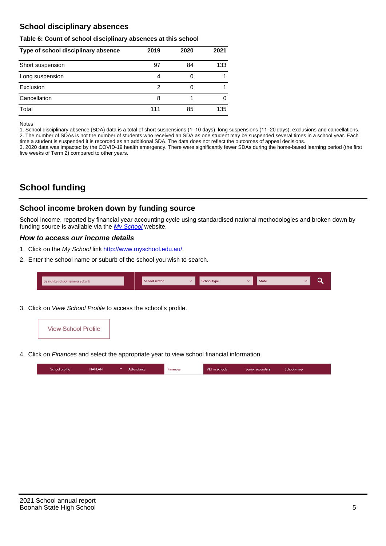# **School disciplinary absences**

#### **Table 6: Count of school disciplinary absences at this school**

| Type of school disciplinary absence | 2019 | 2020 | 2021 |
|-------------------------------------|------|------|------|
| Short suspension                    | 97   | 84   | 133  |
| Long suspension                     | 4    |      |      |
| Exclusion                           | 2    |      |      |
| Cancellation                        | 8    |      |      |
| Total                               | 111  | 85   | 135  |

Notes

1. School disciplinary absence (SDA) data is a total of short suspensions (1–10 days), long suspensions (11–20 days), exclusions and cancellations. 2. The number of SDAs is not the number of students who received an SDA as one student may be suspended several times in a school year. Each time a student is suspended it is recorded as an additional SDA. The data does not reflect the outcomes of appeal decisions.

3. 2020 data was impacted by the COVID-19 health emergency. There were significantly fewer SDAs during the home-based learning period (the first five weeks of Term 2) compared to other years.

# **School funding**

## **School income broken down by funding source**

School income, reported by financial year accounting cycle using standardised national methodologies and broken down by funding source is available via the [My School](http://www.myschool.edu.au/) website.

### **How to access our income details**

- 1. Click on the My School link <http://www.myschool.edu.au/>.
- 2. Enter the school name or suburb of the school you wish to search.

| Search by school name or suburb | <b>School sector</b> | School type | <b>State</b> |  |
|---------------------------------|----------------------|-------------|--------------|--|
|                                 |                      |             |              |  |

3. Click on View School Profile to access the school's profile.



4. Click on Finances and select the appropriate year to view school financial information.

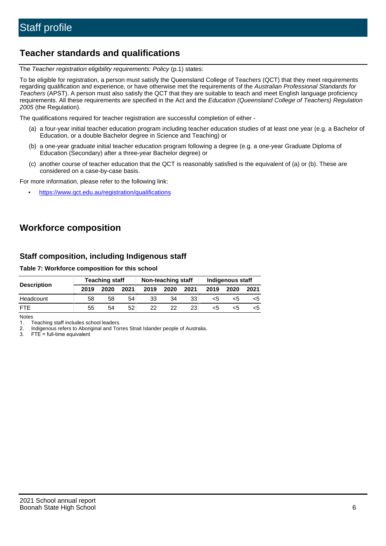# **Teacher standards and qualifications**

The Teacher registration eligibility requirements: Policy (p.1) states:

To be eligible for registration, a person must satisfy the Queensland College of Teachers (QCT) that they meet requirements regarding qualification and experience, or have otherwise met the requirements of the Australian Professional Standards for Teachers (APST). A person must also satisfy the QCT that they are suitable to teach and meet English language proficiency requirements. All these requirements are specified in the Act and the Education (Queensland College of Teachers) Regulation 2005 (the Regulation).

The qualifications required for teacher registration are successful completion of either -

- (a) a four-year initial teacher education program including teacher education studies of at least one year (e.g. a Bachelor of Education, or a double Bachelor degree in Science and Teaching) or
- (b) a one-year graduate initial teacher education program following a degree (e.g. a one-year Graduate Diploma of Education (Secondary) after a three-year Bachelor degree) or
- (c) another course of teacher education that the QCT is reasonably satisfied is the equivalent of (a) or (b). These are considered on a case-by-case basis.

For more information, please refer to the following link:

• <https://www.qct.edu.au/registration/qualifications>

# **Workforce composition**

## **Staff composition, including Indigenous staff**

### **Table 7: Workforce composition for this school**

|                    | <b>Teaching staff</b> |      |      | Non-teaching staff |      |                 | Indigenous staff |      |      |  |
|--------------------|-----------------------|------|------|--------------------|------|-----------------|------------------|------|------|--|
| <b>Description</b> | 2019                  | 2020 | 2021 | 2019               | 2020 | 2021            | 2019             | 2020 | 2021 |  |
| Headcount          | 58                    | 58   | 54   | 33                 | 34   | 33              | <5               | <5   |      |  |
| <b>FTF</b>         | 55                    | 54   | 52   | 22                 | 22   | 23 <sub>1</sub> | <5               | ה>   |      |  |

Notes

1. Teaching staff includes school leaders.

2. Indigenous refers to Aboriginal and Torres Strait Islander people of Australia.

3. FTE = full-time equivalent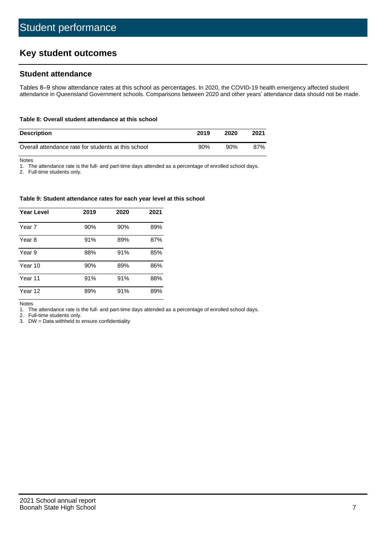# **Key student outcomes**

## **Student attendance**

Tables 8–9 show attendance rates at this school as percentages. In 2020, the COVID-19 health emergency affected student attendance in Queensland Government schools. Comparisons between 2020 and other years' attendance data should not be made.

#### **Table 8: Overall student attendance at this school**

| <b>Description</b>                                  | 2019 | 2020 | 2021 |
|-----------------------------------------------------|------|------|------|
| Overall attendance rate for students at this school | 90%  | 90%  | 87%  |

Notes

1. The attendance rate is the full- and part-time days attended as a percentage of enrolled school days.

2. Full-time students only.

#### **Table 9: Student attendance rates for each year level at this school**

| <b>Year Level</b> | 2019 | 2020 | 2021 |
|-------------------|------|------|------|
| Year 7            | 90%  | 90%  | 89%  |
| Year 8            | 91%  | 89%  | 87%  |
| Year 9            | 88%  | 91%  | 85%  |
| Year 10           | 90%  | 89%  | 86%  |
| Year 11           | 91%  | 91%  | 88%  |
| Year 12           | 89%  | 91%  | 89%  |

Notes

1. The attendance rate is the full- and part-time days attended as a percentage of enrolled school days.

2. Full-time students only.

3. DW = Data withheld to ensure confidentiality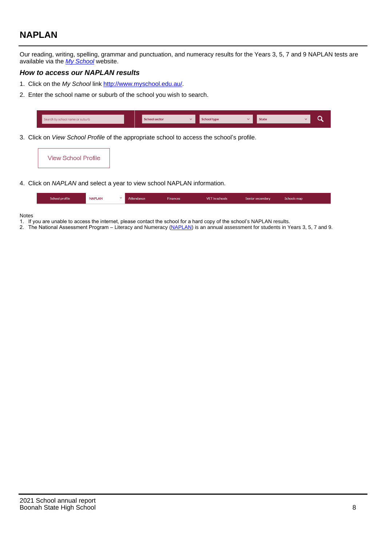# **NAPLAN**

Our reading, writing, spelling, grammar and punctuation, and numeracy results for the Years 3, 5, 7 and 9 NAPLAN tests are available via the [My School](http://www.myschool.edu.au/) website.

### **How to access our NAPLAN results**

- 1. Click on the My School link <http://www.myschool.edu.au/>.
- 2. Enter the school name or suburb of the school you wish to search.

| Search by school name or suburb | <b>School sector</b> | <b>School type</b>                        |          | <b>State</b> |  |
|---------------------------------|----------------------|-------------------------------------------|----------|--------------|--|
|                                 |                      |                                           |          |              |  |
|                                 |                      | $\sim$ $\sim$ $\sim$ $\sim$ $\sim$ $\sim$ | $\cdots$ |              |  |

3. Click on View School Profile of the appropriate school to access the school's profile.

| <b>View School Profile</b> |
|----------------------------|
|----------------------------|

4. Click on NAPLAN and select a year to view school NAPLAN information.

|  | School profile | <b>NAPLAN</b><br>$\sim$ 1 | Attendance | <b>Finances</b> | <b>VET</b> in schools | Senior secondary | Schools map |
|--|----------------|---------------------------|------------|-----------------|-----------------------|------------------|-------------|
|--|----------------|---------------------------|------------|-----------------|-----------------------|------------------|-------------|

#### Notes

- 1. If you are unable to access the internet, please contact the school for a hard copy of the school's NAPLAN results.
- 2. The National Assessment Program Literacy and Numeracy ([NAPLAN\)](http://www.nap.edu.au/naplan) is an annual assessment for students in Years 3, 5, 7 and 9.